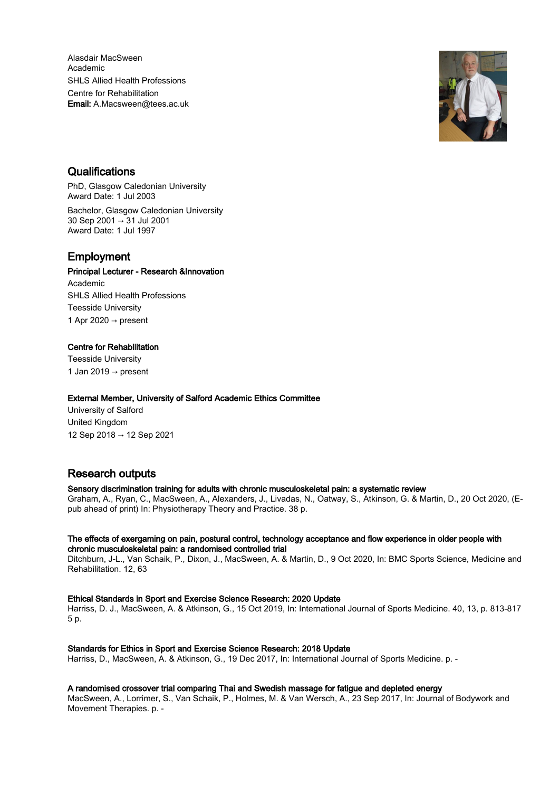Alasdair MacSween Academic SHLS Allied Health Professions Centre for Rehabilitation Email: A.Macsween@tees.ac.uk



## **Qualifications**

PhD, Glasgow Caledonian University Award Date: 1 Jul 2003 Bachelor, Glasgow Caledonian University 30 Sep 2001 → 31 Jul 2001 Award Date: 1 Jul 1997

## Employment

#### Principal Lecturer - Research &Innovation

Academic SHLS Allied Health Professions Teesside University 1 Apr 2020  $\rightarrow$  present

### Centre for Rehabilitation

Teesside University 1 Jan 2019  $\rightarrow$  present

#### External Member, University of Salford Academic Ethics Committee

University of Salford United Kingdom 12 Sep 2018 → 12 Sep 2021

# Research outputs

### Sensory discrimination training for adults with chronic musculoskeletal pain: a systematic review

Graham, A., Ryan, C., MacSween, A., Alexanders, J., Livadas, N., Oatway, S., Atkinson, G. & Martin, D., 20 Oct 2020, (Epub ahead of print) In: Physiotherapy Theory and Practice. 38 p.

#### The effects of exergaming on pain, postural control, technology acceptance and flow experience in older people with chronic musculoskeletal pain: a randomised controlled trial

Ditchburn, J-L., Van Schaik, P., Dixon, J., MacSween, A. & Martin, D., 9 Oct 2020, In: BMC Sports Science, Medicine and Rehabilitation. 12, 63

### Ethical Standards in Sport and Exercise Science Research: 2020 Update

Harriss, D. J., MacSween, A. & Atkinson, G., 15 Oct 2019, In: International Journal of Sports Medicine. 40, 13, p. 813-817 5 p.

#### Standards for Ethics in Sport and Exercise Science Research: 2018 Update

Harriss, D., MacSween, A. & Atkinson, G., 19 Dec 2017, In: International Journal of Sports Medicine. p. -

#### A randomised crossover trial comparing Thai and Swedish massage for fatigue and depleted energy

MacSween, A., Lorrimer, S., Van Schaik, P., Holmes, M. & Van Wersch, A., 23 Sep 2017, In: Journal of Bodywork and Movement Therapies. p. -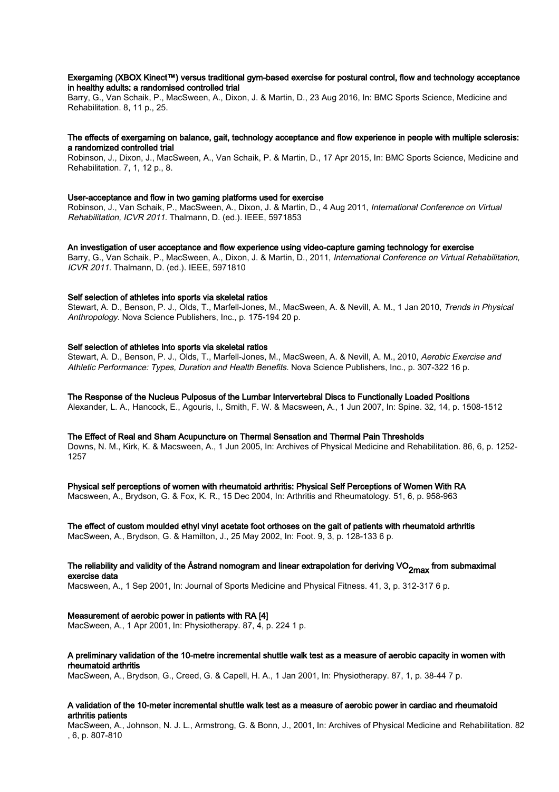#### Exergaming (XBOX Kinect™) versus traditional gym-based exercise for postural control, flow and technology acceptance in healthy adults: a randomised controlled trial

Barry, G., Van Schaik, P., MacSween, A., Dixon, J. & Martin, D., 23 Aug 2016, In: BMC Sports Science, Medicine and Rehabilitation. 8, 11 p., 25.

#### The effects of exergaming on balance, gait, technology acceptance and flow experience in people with multiple sclerosis: a randomized controlled trial

Robinson, J., Dixon, J., MacSween, A., Van Schaik, P. & Martin, D., 17 Apr 2015, In: BMC Sports Science, Medicine and Rehabilitation. 7, 1, 12 p., 8.

#### User-acceptance and flow in two gaming platforms used for exercise

Robinson, J., Van Schaik, P., MacSween, A., Dixon, J. & Martin, D., 4 Aug 2011, International Conference on Virtual Rehabilitation, ICVR 2011. Thalmann, D. (ed.). IEEE, 5971853

#### An investigation of user acceptance and flow experience using video-capture gaming technology for exercise

Barry, G., Van Schaik, P., MacSween, A., Dixon, J. & Martin, D., 2011, International Conference on Virtual Rehabilitation, ICVR 2011. Thalmann, D. (ed.). IEEE, 5971810

#### Self selection of athletes into sports via skeletal ratios

Stewart, A. D., Benson, P. J., Olds, T., Marfell-Jones, M., MacSween, A. & Nevill, A. M., 1 Jan 2010, Trends in Physical Anthropology. Nova Science Publishers, Inc., p. 175-194 20 p.

#### Self selection of athletes into sports via skeletal ratios

Stewart, A. D., Benson, P. J., Olds, T., Marfell-Jones, M., MacSween, A. & Nevill, A. M., 2010, Aerobic Exercise and Athletic Performance: Types, Duration and Health Benefits. Nova Science Publishers, Inc., p. 307-322 16 p.

The Response of the Nucleus Pulposus of the Lumbar Intervertebral Discs to Functionally Loaded Positions

Alexander, L. A., Hancock, E., Agouris, I., Smith, F. W. & Macsween, A., 1 Jun 2007, In: Spine. 32, 14, p. 1508-1512

#### The Effect of Real and Sham Acupuncture on Thermal Sensation and Thermal Pain Thresholds

Downs, N. M., Kirk, K. & Macsween, A., 1 Jun 2005, In: Archives of Physical Medicine and Rehabilitation. 86, 6, p. 1252- 1257

Physical self perceptions of women with rheumatoid arthritis: Physical Self Perceptions of Women With RA Macsween, A., Brydson, G. & Fox, K. R., 15 Dec 2004, In: Arthritis and Rheumatology. 51, 6, p. 958-963

The effect of custom moulded ethyl vinyl acetate foot orthoses on the gait of patients with rheumatoid arthritis MacSween, A., Brydson, G. & Hamilton, J., 25 May 2002, In: Foot. 9, 3, p. 128-133 6 p.

#### The reliability and validity of the Åstrand nomogram and linear extrapolation for deriving VO<sub>2max</sub> from submaximal exercise data

Macsween, A., 1 Sep 2001, In: Journal of Sports Medicine and Physical Fitness. 41, 3, p. 312-317 6 p.

Measurement of aerobic power in patients with RA [4]

MacSween, A., 1 Apr 2001, In: Physiotherapy. 87, 4, p. 224 1 p.

#### A preliminary validation of the 10-metre incremental shuttle walk test as a measure of aerobic capacity in women with rheumatoid arthritis

MacSween, A., Brydson, G., Creed, G. & Capell, H. A., 1 Jan 2001, In: Physiotherapy. 87, 1, p. 38-44 7 p.

#### A validation of the 10-meter incremental shuttle walk test as a measure of aerobic power in cardiac and rheumatoid arthritis patients

MacSween, A., Johnson, N. J. L., Armstrong, G. & Bonn, J., 2001, In: Archives of Physical Medicine and Rehabilitation. 82 , 6, p. 807-810